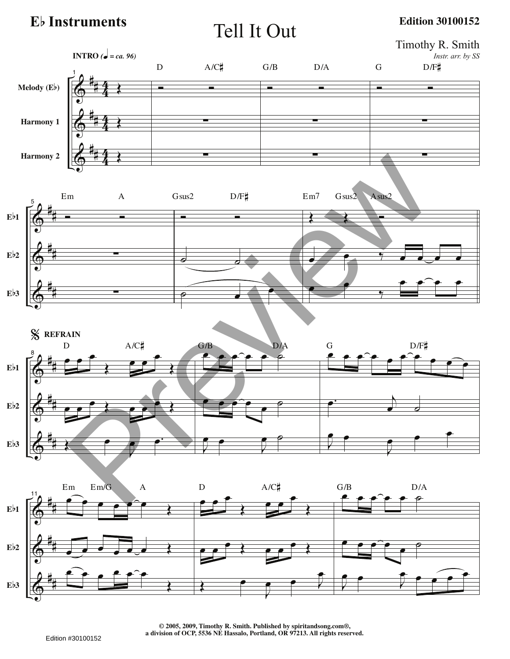**E**b **Instruments**

Tell It Out

**Edition 30100152**



**© 2005, 2009, Timothy R. Smith. Published by spiritandsong.com®, a division of OCP, 5536 NE Hassalo, Portland, OR 97213. All rights reserved.**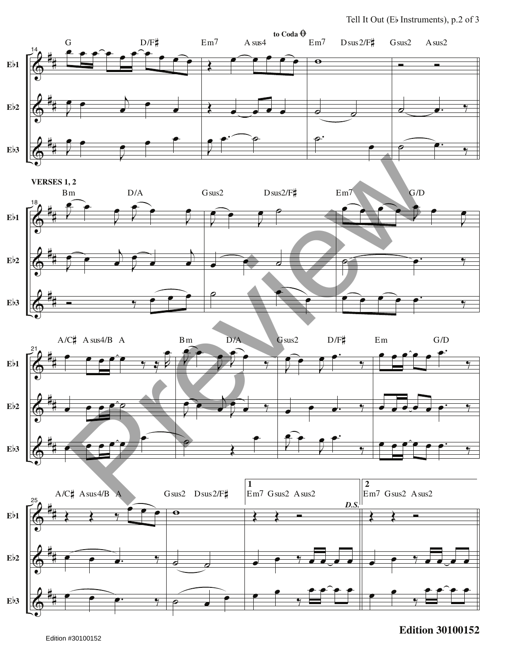







## **Edition 30100152**

Edition #30100152